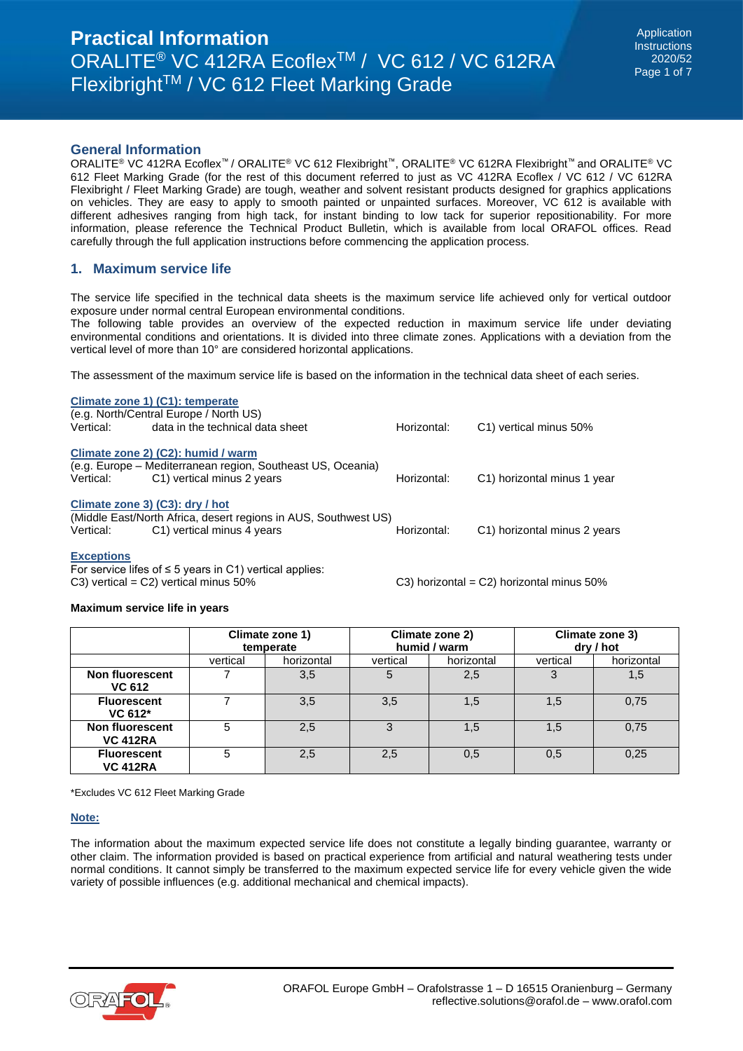# **General Information**

ORALITE® VC 412RA Ecoflex™ / ORALITE® VC 612 Flexibright™, ORALITE® VC 612RA Flexibright™ and ORALITE® VC 612 Fleet Marking Grade (for the rest of this document referred to just as VC 412RA Ecoflex / VC 612 / VC 612RA Flexibright / Fleet Marking Grade) are tough, weather and solvent resistant products designed for graphics applications on vehicles. They are easy to apply to smooth painted or unpainted surfaces. Moreover, VC 612 is available with different adhesives ranging from high tack, for instant binding to low tack for superior repositionability. For more information, please reference the Technical Product Bulletin, which is available from local ORAFOL offices. Read carefully through the full application instructions before commencing the application process.

### **1. Maximum service life**

The service life specified in the technical data sheets is the maximum service life achieved only for vertical outdoor exposure under normal central European environmental conditions.

The following table provides an overview of the expected reduction in maximum service life under deviating environmental conditions and orientations. It is divided into three climate zones. Applications with a deviation from the vertical level of more than 10° are considered horizontal applications.

The assessment of the maximum service life is based on the information in the technical data sheet of each series.

|                                                                 | Climate zone 1) (C1): temperate<br>(e.g. North/Central Europe / North US) |             |                              |  |  |  |  |
|-----------------------------------------------------------------|---------------------------------------------------------------------------|-------------|------------------------------|--|--|--|--|
| Vertical:                                                       | data in the technical data sheet                                          | Horizontal: | C1) vertical minus 50%       |  |  |  |  |
|                                                                 |                                                                           |             |                              |  |  |  |  |
| Climate zone 2) (C2): humid / warm                              |                                                                           |             |                              |  |  |  |  |
|                                                                 | (e.g. Europe – Mediterranean region, Southeast US, Oceania)               |             |                              |  |  |  |  |
| Vertical:                                                       | C1) vertical minus 2 years                                                | Horizontal: | C1) horizontal minus 1 year  |  |  |  |  |
| Climate zone 3) (C3): dry / hot                                 |                                                                           |             |                              |  |  |  |  |
| (Middle East/North Africa, desert regions in AUS, Southwest US) |                                                                           |             |                              |  |  |  |  |
|                                                                 |                                                                           |             |                              |  |  |  |  |
| Vertical:                                                       | C1) vertical minus 4 years                                                | Horizontal: | C1) horizontal minus 2 years |  |  |  |  |
|                                                                 |                                                                           |             |                              |  |  |  |  |
| <b>Exceptions</b>                                               |                                                                           |             |                              |  |  |  |  |

For service lifes of  $\leq$  5 years in C1) vertical applies:<br>C3) vertical = C2) vertical minus 50%

#### **Maximum service life in years**

|                                         | Climate zone 1)<br>temperate |            | Climate zone 2)<br>humid / warm |            | Climate zone 3)<br>dry / hot |            |
|-----------------------------------------|------------------------------|------------|---------------------------------|------------|------------------------------|------------|
|                                         | vertical                     | horizontal | vertical                        | horizontal | vertical                     | horizontal |
| <b>Non fluorescent</b><br><b>VC 612</b> |                              | 3,5        | 5                               | 2,5        |                              | 1,5        |
| <b>Fluorescent</b><br>VC 612*           |                              | 3,5        | 3,5                             | 1,5        | 1,5                          | 0,75       |
| Non fluorescent<br><b>VC 412RA</b>      |                              | 2,5        |                                 | 1.5        | 1,5                          | 0,75       |
| <b>Fluorescent</b><br><b>VC 412RA</b>   | 5                            | 2,5        | 2,5                             | 0,5        | 0,5                          | 0,25       |

\*Excludes VC 612 Fleet Marking Grade

#### **Note:**

The information about the maximum expected service life does not constitute a legally binding guarantee, warranty or other claim. The information provided is based on practical experience from artificial and natural weathering tests under normal conditions. It cannot simply be transferred to the maximum expected service life for every vehicle given the wide variety of possible influences (e.g. additional mechanical and chemical impacts).



 $C3$ ) horizontal =  $C2$ ) horizontal minus 50%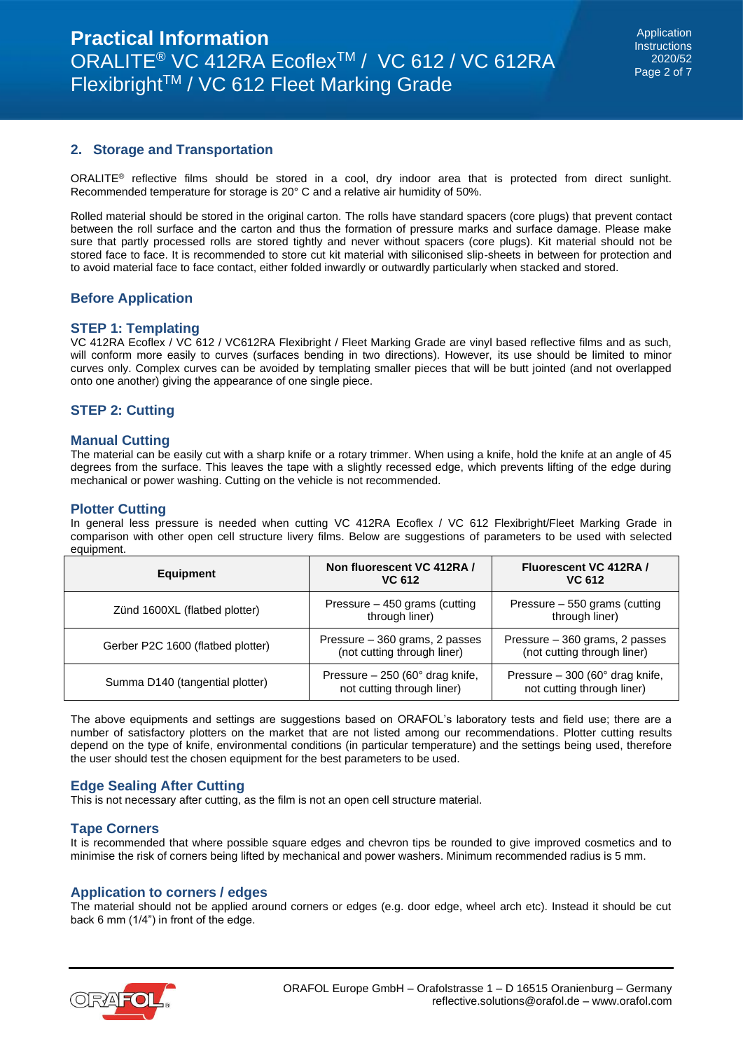# **2. Storage and Transportation**

ORALITE® reflective films should be stored in a cool, dry indoor area that is protected from direct sunlight. Recommended temperature for storage is 20° C and a relative air humidity of 50%.

Rolled material should be stored in the original carton. The rolls have standard spacers (core plugs) that prevent contact between the roll surface and the carton and thus the formation of pressure marks and surface damage. Please make sure that partly processed rolls are stored tightly and never without spacers (core plugs). Kit material should not be stored face to face. It is recommended to store cut kit material with siliconised slip-sheets in between for protection and to avoid material face to face contact, either folded inwardly or outwardly particularly when stacked and stored.

# **Before Application**

#### **STEP 1: Templating**

VC 412RA Ecoflex / VC 612 / VC612RA Flexibright / Fleet Marking Grade are vinyl based reflective films and as such, will conform more easily to curves (surfaces bending in two directions). However, its use should be limited to minor curves only. Complex curves can be avoided by templating smaller pieces that will be butt jointed (and not overlapped onto one another) giving the appearance of one single piece.

# **STEP 2: Cutting**

#### **Manual Cutting**

The material can be easily cut with a sharp knife or a rotary trimmer. When using a knife, hold the knife at an angle of 45 degrees from the surface. This leaves the tape with a slightly recessed edge, which prevents lifting of the edge during mechanical or power washing. Cutting on the vehicle is not recommended.

#### **Plotter Cutting**

In general less pressure is needed when cutting VC 412RA Ecoflex / VC 612 Flexibright/Fleet Marking Grade in comparison with other open cell structure livery films. Below are suggestions of parameters to be used with selected equipment.

| <b>Equipment</b>                  | Non fluorescent VC 412RA /<br>VC 612                                     | Fluorescent VC 412RA /<br>VC 612                                         |  |
|-----------------------------------|--------------------------------------------------------------------------|--------------------------------------------------------------------------|--|
| Zünd 1600XL (flatbed plotter)     | Pressure - 450 grams (cutting<br>through liner)                          | Pressure - 550 grams (cutting<br>through liner)                          |  |
| Gerber P2C 1600 (flatbed plotter) | Pressure – 360 grams, 2 passes<br>(not cutting through liner)            | Pressure – 360 grams, 2 passes<br>(not cutting through liner)            |  |
| Summa D140 (tangential plotter)   | Pressure $-250$ (60 $^{\circ}$ drag knife,<br>not cutting through liner) | Pressure $-300$ (60 $^{\circ}$ drag knife,<br>not cutting through liner) |  |

The above equipments and settings are suggestions based on ORAFOL's laboratory tests and field use; there are a number of satisfactory plotters on the market that are not listed among our recommendations. Plotter cutting results depend on the type of knife, environmental conditions (in particular temperature) and the settings being used, therefore the user should test the chosen equipment for the best parameters to be used.

#### **Edge Sealing After Cutting**

This is not necessary after cutting, as the film is not an open cell structure material.

#### **Tape Corners**

It is recommended that where possible square edges and chevron tips be rounded to give improved cosmetics and to minimise the risk of corners being lifted by mechanical and power washers. Minimum recommended radius is 5 mm.

#### **Application to corners / edges**

The material should not be applied around corners or edges (e.g. door edge, wheel arch etc). Instead it should be cut back 6 mm (1/4") in front of the edge.

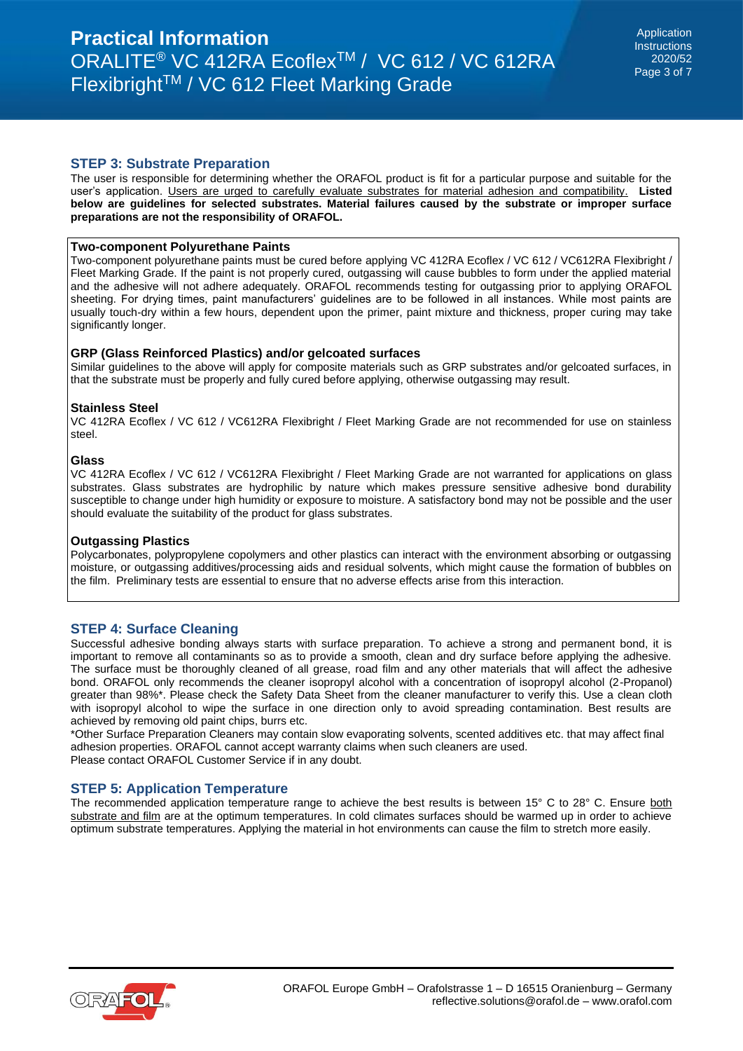# **STEP 3: Substrate Preparation**

The user is responsible for determining whether the ORAFOL product is fit for a particular purpose and suitable for the user's application. Users are urged to carefully evaluate substrates for material adhesion and compatibility. **Listed below are guidelines for selected substrates. Material failures caused by the substrate or improper surface preparations are not the responsibility of ORAFOL.** 

### **Two-component Polyurethane Paints**

Two-component polyurethane paints must be cured before applying VC 412RA Ecoflex / VC 612 / VC612RA Flexibright / Fleet Marking Grade. If the paint is not properly cured, outgassing will cause bubbles to form under the applied material and the adhesive will not adhere adequately. ORAFOL recommends testing for outgassing prior to applying ORAFOL sheeting. For drying times, paint manufacturers' guidelines are to be followed in all instances. While most paints are usually touch-dry within a few hours, dependent upon the primer, paint mixture and thickness, proper curing may take significantly longer.

#### **GRP (Glass Reinforced Plastics) and/or gelcoated surfaces**

Similar guidelines to the above will apply for composite materials such as GRP substrates and/or gelcoated surfaces, in that the substrate must be properly and fully cured before applying, otherwise outgassing may result.

#### **Stainless Steel**

VC 412RA Ecoflex / VC 612 / VC612RA Flexibright / Fleet Marking Grade are not recommended for use on stainless steel.

#### **Glass**

VC 412RA Ecoflex / VC 612 / VC612RA Flexibright / Fleet Marking Grade are not warranted for applications on glass substrates. Glass substrates are hydrophilic by nature which makes pressure sensitive adhesive bond durability susceptible to change under high humidity or exposure to moisture. A satisfactory bond may not be possible and the user should evaluate the suitability of the product for glass substrates.

#### **Outgassing Plastics**

Polycarbonates, polypropylene copolymers and other plastics can interact with the environment absorbing or outgassing moisture, or outgassing additives/processing aids and residual solvents, which might cause the formation of bubbles on the film. Preliminary tests are essential to ensure that no adverse effects arise from this interaction.

# **STEP 4: Surface Cleaning**

Successful adhesive bonding always starts with surface preparation. To achieve a strong and permanent bond, it is important to remove all contaminants so as to provide a smooth, clean and dry surface before applying the adhesive. The surface must be thoroughly cleaned of all grease, road film and any other materials that will affect the adhesive bond. ORAFOL only recommends the cleaner isopropyl alcohol with a concentration of isopropyl alcohol (2-Propanol) greater than 98%\*. Please check the Safety Data Sheet from the cleaner manufacturer to verify this. Use a clean cloth with isopropyl alcohol to wipe the surface in one direction only to avoid spreading contamination. Best results are achieved by removing old paint chips, burrs etc.

\*Other Surface Preparation Cleaners may contain slow evaporating solvents, scented additives etc. that may affect final adhesion properties. ORAFOL cannot accept warranty claims when such cleaners are used. Please contact ORAFOL Customer Service if in any doubt.

#### **STEP 5: Application Temperature**

The recommended application temperature range to achieve the best results is between 15° C to 28° C. Ensure both substrate and film are at the optimum temperatures. In cold climates surfaces should be warmed up in order to achieve optimum substrate temperatures. Applying the material in hot environments can cause the film to stretch more easily.

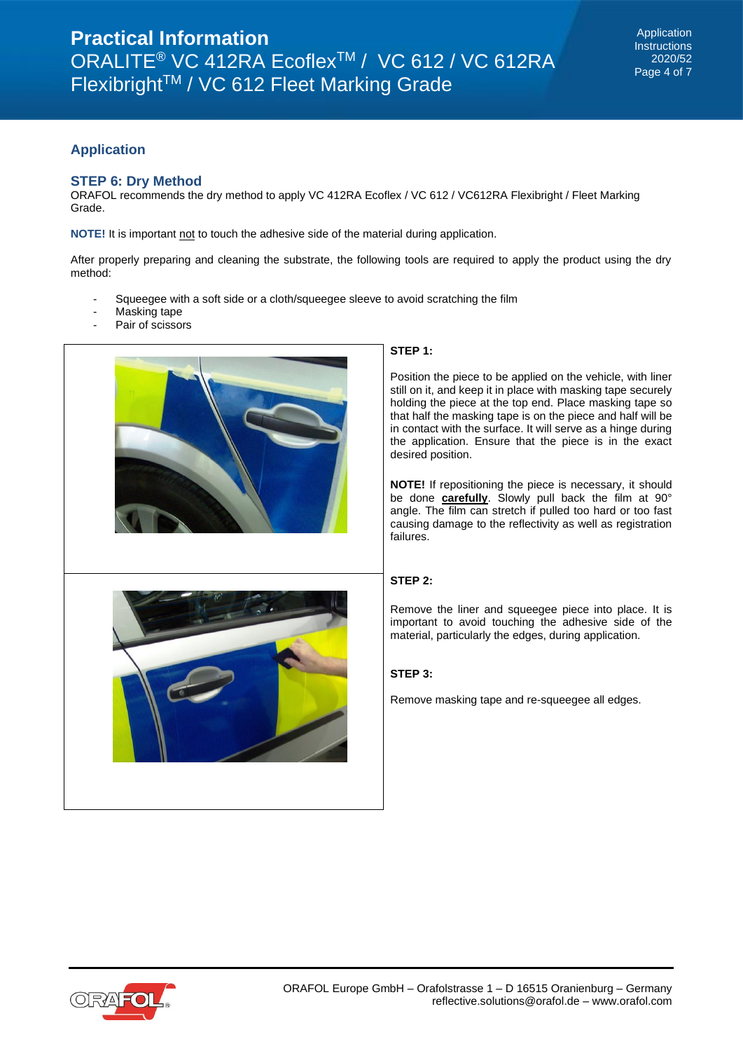# **Application**

# **STEP 6: Dry Method**

ORAFOL recommends the dry method to apply VC 412RA Ecoflex / VC 612 / VC612RA Flexibright / Fleet Marking Grade.

**NOTE!** It is important not to touch the adhesive side of the material during application.

After properly preparing and cleaning the substrate, the following tools are required to apply the product using the dry method:

- Squeegee with a soft side or a cloth/squeegee sleeve to avoid scratching the film
- Masking tape
- Pair of scissors



#### **STEP 1:**

Position the piece to be applied on the vehicle, with liner still on it, and keep it in place with masking tape securely holding the piece at the top end. Place masking tape so that half the masking tape is on the piece and half will be in contact with the surface. It will serve as a hinge during the application. Ensure that the piece is in the exact desired position.

**NOTE!** If repositioning the piece is necessary, it should be done **carefully**. Slowly pull back the film at 90° angle. The film can stretch if pulled too hard or too fast causing damage to the reflectivity as well as registration failures.

### **STEP 2:**

Remove the liner and squeegee piece into place. It is important to avoid touching the adhesive side of the material, particularly the edges, during application.

#### **STEP 3:**

Remove masking tape and re-squeegee all edges.

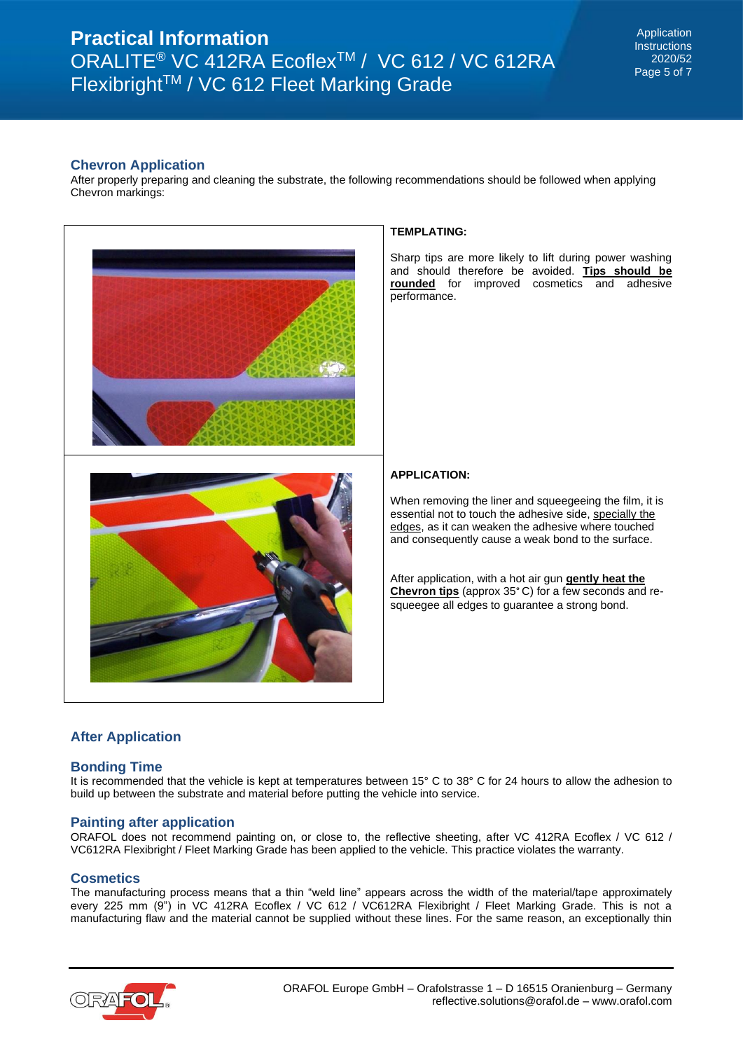# **Chevron Application**

After properly preparing and cleaning the substrate, the following recommendations should be followed when applying Chevron markings:



#### **TEMPLATING:**

Sharp tips are more likely to lift during power washing and should therefore be avoided. **Tips should be rounded** for improved cosmetics and adhesive performance.

# **APPLICATION:**

When removing the liner and squeegeeing the film, it is essential not to touch the adhesive side, specially the edges, as it can weaken the adhesive where touched and consequently cause a weak bond to the surface.

After application, with a hot air gun **gently heat the Chevron tips** (approx 35° C) for a few seconds and resqueegee all edges to guarantee a strong bond.

# **After Application**

# **Bonding Time**

It is recommended that the vehicle is kept at temperatures between 15° C to 38° C for 24 hours to allow the adhesion to build up between the substrate and material before putting the vehicle into service.

#### **Painting after application**

ORAFOL does not recommend painting on, or close to, the reflective sheeting, after VC 412RA Ecoflex / VC 612 / VC612RA Flexibright / Fleet Marking Grade has been applied to the vehicle. This practice violates the warranty.

#### **Cosmetics**

The manufacturing process means that a thin "weld line" appears across the width of the material/tape approximately every 225 mm (9") in VC 412RA Ecoflex / VC 612 / VC612RA Flexibright / Fleet Marking Grade. This is not a manufacturing flaw and the material cannot be supplied without these lines. For the same reason, an exceptionally thin

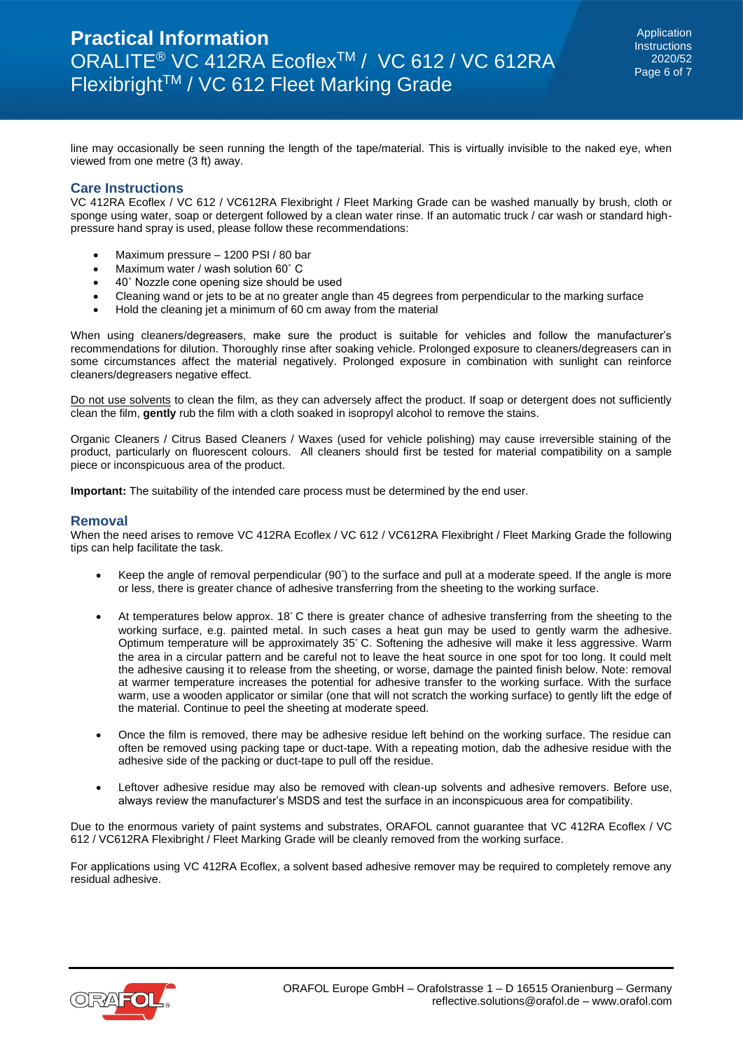Application **Instructions** 2020/52 Page 6 of 7

line may occasionally be seen running the length of the tape/material. This is virtually invisible to the naked eye, when viewed from one metre (3 ft) away.

# **Care Instructions**

VC 412RA Ecoflex / VC 612 / VC612RA Flexibright / Fleet Marking Grade can be washed manually by brush, cloth or sponge using water, soap or detergent followed by a clean water rinse. If an automatic truck / car wash or standard highpressure hand spray is used, please follow these recommendations:

- Maximum pressure 1200 PSI / 80 bar
- Maximum water / wash solution 60° C
- 40˚ Nozzle cone opening size should be used
- Cleaning wand or jets to be at no greater angle than 45 degrees from perpendicular to the marking surface
- Hold the cleaning jet a minimum of 60 cm away from the material

When using cleaners/degreasers, make sure the product is suitable for vehicles and follow the manufacturer's recommendations for dilution. Thoroughly rinse after soaking vehicle. Prolonged exposure to cleaners/degreasers can in some circumstances affect the material negatively. Prolonged exposure in combination with sunlight can reinforce cleaners/degreasers negative effect.

Do not use solvents to clean the film, as they can adversely affect the product. If soap or detergent does not sufficiently clean the film, **gently** rub the film with a cloth soaked in isopropyl alcohol to remove the stains.

Organic Cleaners / Citrus Based Cleaners / Waxes (used for vehicle polishing) may cause irreversible staining of the product, particularly on fluorescent colours. All cleaners should first be tested for material compatibility on a sample piece or inconspicuous area of the product.

**Important:** The suitability of the intended care process must be determined by the end user.

#### **Removal**

When the need arises to remove VC 412RA Ecoflex / VC 612 / VC612RA Flexibright / Fleet Marking Grade the following tips can help facilitate the task.

- Keep the angle of removal perpendicular (90°) to the surface and pull at a moderate speed. If the angle is more or less, there is greater chance of adhesive transferring from the sheeting to the working surface.
- At temperatures below approx. 18° C there is greater chance of adhesive transferring from the sheeting to the working surface, e.g. painted metal. In such cases a heat gun may be used to gently warm the adhesive. Optimum temperature will be approximately 35° C. Softening the adhesive will make it less aggressive. Warm the area in a circular pattern and be careful not to leave the heat source in one spot for too long. It could melt the adhesive causing it to release from the sheeting, or worse, damage the painted finish below. Note: removal at warmer temperature increases the potential for adhesive transfer to the working surface. With the surface warm, use a wooden applicator or similar (one that will not scratch the working surface) to gently lift the edge of the material. Continue to peel the sheeting at moderate speed.
- Once the film is removed, there may be adhesive residue left behind on the working surface. The residue can often be removed using packing tape or duct-tape. With a repeating motion, dab the adhesive residue with the adhesive side of the packing or duct-tape to pull off the residue.
- Leftover adhesive residue may also be removed with clean-up solvents and adhesive removers. Before use, always review the manufacturer's MSDS and test the surface in an inconspicuous area for compatibility.

Due to the enormous variety of paint systems and substrates, ORAFOL cannot guarantee that VC 412RA Ecoflex / VC 612 / VC612RA Flexibright / Fleet Marking Grade will be cleanly removed from the working surface.

For applications using VC 412RA Ecoflex, a solvent based adhesive remover may be required to completely remove any residual adhesive.